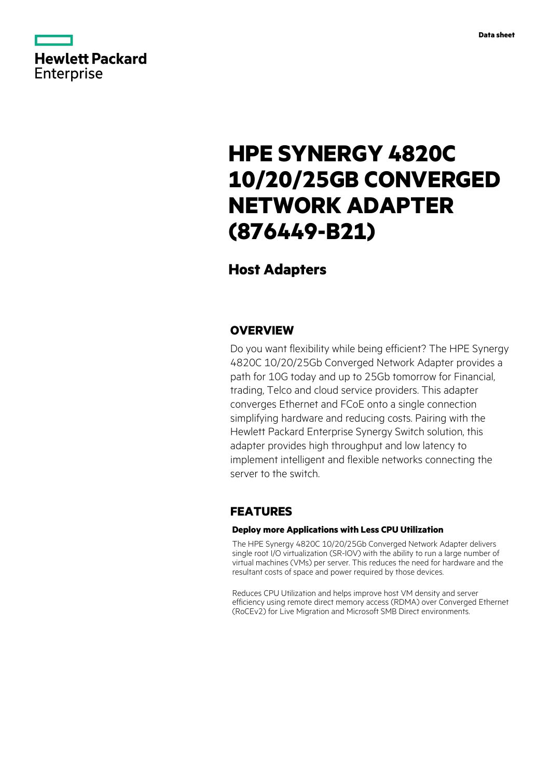

# **HPE SYNERGY 4820C 10/20/25GB CONVERGED NETWORK ADAPTER (876449-B21)**

# **Host Adapters**

### **OVERVIEW**

Do you want flexibility while being efficient? The HPE Synergy 4820C 10/20/25Gb Converged Network Adapter provides a path for 10G today and up to 25Gb tomorrow for Financial, trading, Telco and cloud service providers. This adapter converges Ethernet and FCoE onto a single connection simplifying hardware and reducing costs. Pairing with the Hewlett Packard Enterprise Synergy Switch solution, this adapter provides high throughput and low latency to implement intelligent and flexible networks connecting the server to the switch.

## **FEATURES**

### **Deploy more Applications with Less CPU Utilization**

The HPE Synergy 4820C 10/20/25Gb Converged Network Adapter delivers single root I/O virtualization (SR-IOV) with the ability to run a large number of virtual machines (VMs) per server. This reduces the need for hardware and the resultant costs of space and power required by those devices.

Reduces CPU Utilization and helps improve host VM density and server efficiency using remote direct memory access (RDMA) over Converged Ethernet (RoCEv2) for Live Migration and Microsoft SMB Direct environments.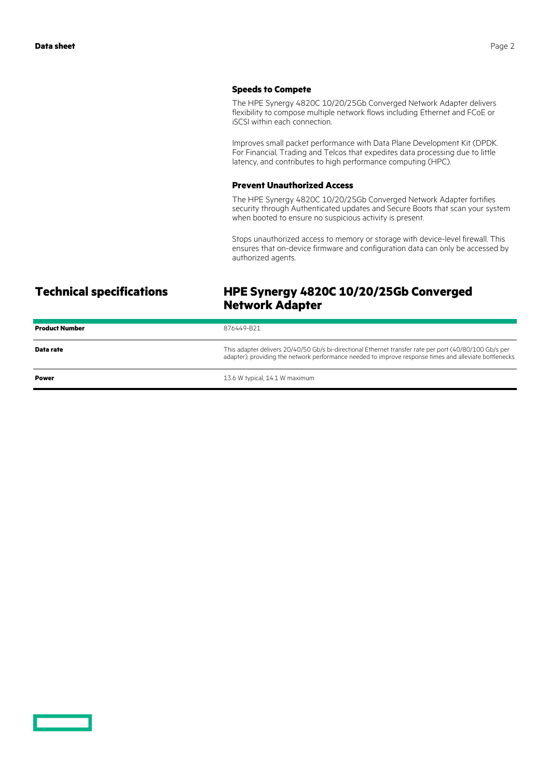### **Speeds to Compete**

The HPE Synergy 4820C 10/20/25Gb Converged Network Adapter delivers flexibility to compose multiple network flows including Ethernet and FCoE or iSCSI within each connection.

Improves small packet performance with Data Plane Development Kit (DPDK. For Financial, Trading and Telcos that expedites data processing due to little latency, and contributes to high performance computing (HPC).

### **Prevent Unauthorized Access**

The HPE Synergy 4820C 10/20/25Gb Converged Network Adapter fortifies security through Authenticated updates and Secure Boots that scan your system when booted to ensure no suspicious activity is present.

Stops unauthorized access to memory or storage with device-level firewall. This ensures that on-device firmware and configuration data can only be accessed by authorized agents.

# **Technical specifications HPE Synergy 4820C 10/20/25Gb Converged Network Adapter**

| <b>Product Number</b> | 876449-B21                                                                                                                                                                                                       |
|-----------------------|------------------------------------------------------------------------------------------------------------------------------------------------------------------------------------------------------------------|
| Data rate             | This adapter delivers 20/40/50 Gb/s bi-directional Ethernet transfer rate per port (40/80/100 Gb/s per<br>adapter), providing the network performance needed to improve response times and alleviate bottlenecks |
| <b>Power</b>          | 13.6 W typical, 14.1 W maximum                                                                                                                                                                                   |